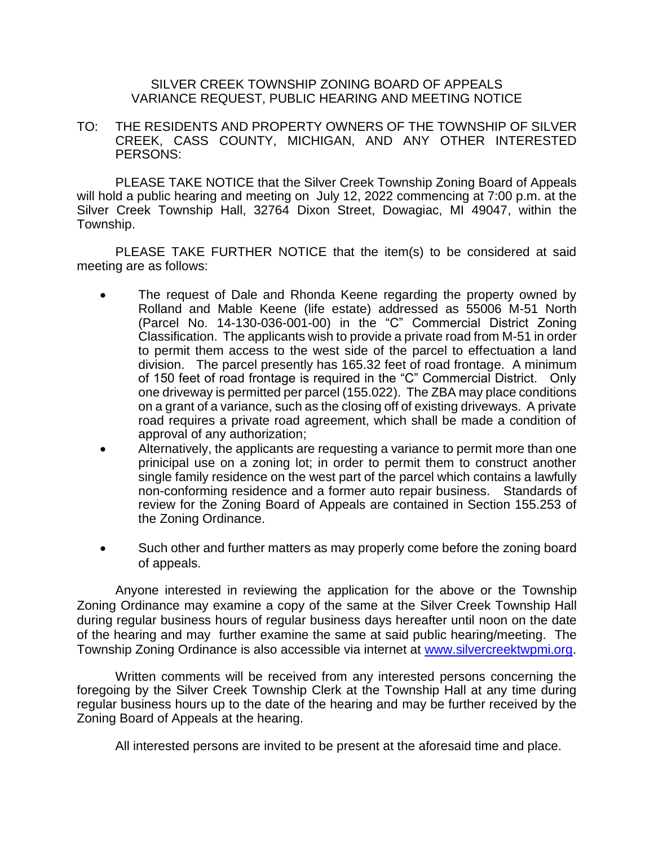## SILVER CREEK TOWNSHIP ZONING BOARD OF APPEALS VARIANCE REQUEST, PUBLIC HEARING AND MEETING NOTICE

TO: THE RESIDENTS AND PROPERTY OWNERS OF THE TOWNSHIP OF SILVER CREEK, CASS COUNTY, MICHIGAN, AND ANY OTHER INTERESTED PERSONS:

PLEASE TAKE NOTICE that the Silver Creek Township Zoning Board of Appeals will hold a public hearing and meeting on July 12, 2022 commencing at 7:00 p.m. at the Silver Creek Township Hall, 32764 Dixon Street, Dowagiac, MI 49047, within the Township.

PLEASE TAKE FURTHER NOTICE that the item(s) to be considered at said meeting are as follows:

- The request of Dale and Rhonda Keene regarding the property owned by Rolland and Mable Keene (life estate) addressed as 55006 M-51 North (Parcel No. 14-130-036-001-00) in the "C" Commercial District Zoning Classification. The applicants wish to provide a private road from M-51 in order to permit them access to the west side of the parcel to effectuation a land division. The parcel presently has 165.32 feet of road frontage. A minimum of 150 feet of road frontage is required in the "C" Commercial District. Only one driveway is permitted per parcel (155.022). The ZBA may place conditions on a grant of a variance, such as the closing off of existing driveways. A private road requires a private road agreement, which shall be made a condition of approval of any authorization;
- Alternatively, the applicants are requesting a variance to permit more than one prinicipal use on a zoning lot; in order to permit them to construct another single family residence on the west part of the parcel which contains a lawfully non-conforming residence and a former auto repair business. Standards of review for the Zoning Board of Appeals are contained in Section 155.253 of the Zoning Ordinance.
- Such other and further matters as may properly come before the zoning board of appeals.

Anyone interested in reviewing the application for the above or the Township Zoning Ordinance may examine a copy of the same at the Silver Creek Township Hall during regular business hours of regular business days hereafter until noon on the date of the hearing and may further examine the same at said public hearing/meeting. The Township Zoning Ordinance is also accessible via internet at [www.silvercreektwpmi.org.](http://www.silvercreektwpmi.org/)

Written comments will be received from any interested persons concerning the foregoing by the Silver Creek Township Clerk at the Township Hall at any time during regular business hours up to the date of the hearing and may be further received by the Zoning Board of Appeals at the hearing.

All interested persons are invited to be present at the aforesaid time and place.